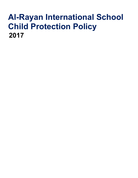# Al-Rayan International School Child Protection Policy 2017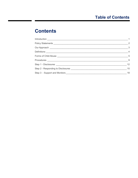## **Contents**

| $\sim$ $-1$                |
|----------------------------|
| $\overline{\phantom{0}}^2$ |
| $\overline{\phantom{a}}$   |
| $\overline{4}$             |
|                            |
| 9                          |
| 12                         |
| 15                         |
| 18                         |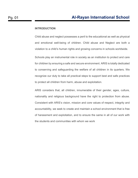#### **INTRODUCTION**

Child abuse and neglect possesses a peril to the educational as well as physical and emotional well-being of children. Child abuse and Neglect are both a violation to a child's human rights and growing concerns in schools worldwide.

Schools play an instrumental role in society as an institution to protect and care for children by ensuring a safe and secure environment. ARIS is totally dedicated to conserving and safeguarding the welfare of all children in its quarters. We recognize our duty to take all practical steps to support best and safe practices to protect all children from harm, abuse and exploitation.

ARIS considers that, all children, innumerable of their gender, ages, culture, nationality and religious background have the right to protection from abuse. Consistent with ARIS's vision, mission and core values of respect, integrity and accountability, we seek to create and maintain a school environment that is free of harassment and exploitation, and to ensure the same in all of our work with the students and communities with whom we work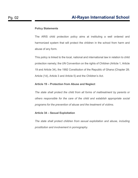#### Policy Statements

The ARIS child protection policy aims at instituting a well ordered and harmonized system that will protect the children in the school from harm and abuse of any form.

This policy is linked to the local, national and international law in relation to child protection namely; the UN Convention on the rights of Children (Article 1, Article 19 and Article 34), the 1992 Constitution of the Republic of Ghana (Chapter 28; Article (1d), Article 3 and Article 5) and the Children's Act.

#### Article 19 – Protection from Abuse and Neglect

The state shall protect the child from all forms of maltreatment by parents or others responsible for the care of the child and establish appropriate social programs for the prevention of abuse and the treatment of victims.

#### Article 34 – Sexual Exploitation

The state shall protect children from sexual exploitation and abuse, including prostitution and involvement in pornography.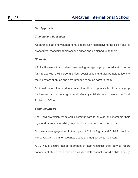#### Our Approach

#### Training and Education

All parents, staff and volunteers have to be fully responsive to the policy and its procedures, recognize their responsibilities and be signed up to them.

#### **Students**

ARIS will ensure that students are getting an age appropriate education to be familiarized with their personal safety, social duties, and also be able to identify the indicators of abuse and acts intended to cause harm to them.

ARIS will ensure that students understand their responsibilities to standing up for their own and others rights, and refer any child abuse concern to the Child Protection Officer.

#### Staff/ Volunteers

The Child protection team would communicate to all staff and members their legal and moral responsibility to protect children from harm and abuse.

Our aim is to engage them in the topics of Child's Rights and Child Protection. Moreover, train them to recognize abuse and neglect by its indicators.

ARIS would ensure that all members of staff recognize their duty to report concerns of abuse that arises on a child or staff conduct toward a child. Faculty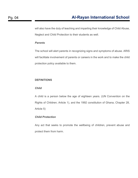will also have the duty of teaching and imparting their knowledge of Child Abuse, Neglect and Child Protection to their students as well.

#### **Parents**

The school will alert parents in recognizing signs and symptoms of abuse. ARIS will facilitate involvement of parents or careers in the work and to make the child protection policy available to them.

#### **DEFINITIONS**

#### Child

A child is a person below the age of eighteen years. (UN Convention on the Rights of Children; Article 1), and the 1992 constitution of Ghana, Chapter 28, Article 5)

#### Child Protection

Any act that seeks to promote the wellbeing of children, prevent abuse and protect them from harm.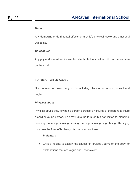#### Harm

Any damaging or detrimental effects on a child's physical, socio and emotional wellbeing.

#### Child abuse

Any physical, sexual and/or emotional acts of others on the child that cause harm on the child.

#### FORMS OF CHILD ABUSE

Child abuse can take many forms including physical, emotional, sexual and neglect.

#### Physical abuse

Physical abuse occurs when a person purposefully injures or threatens to injure a child or young person. This may take the form of, but not limited to, slapping, pinching, punching, shaking, kicking, burning, shoving or grabbing. The injury may take the form of bruises, cuts, burns or fractures.

- Indicators
- Child's inability to explain the causes of bruises , burns on the body or explanations that are vague and inconsistent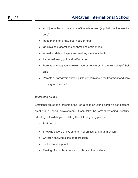- An injury reflecting the shape of the article used (e.g. belt, buckle, electric cord)
- Rope marks on arms, legs, neck or torso
- Unexplained lacerations or abrasions or fractures
- A marked delay of injury and seeking medical attention
- Increased fear , guilt and self-shame
- Parents or caregivers showing little or no interest in the wellbeing of their child
- Parents or caregivers showing little concern about the treatment and care of injury on the child.

#### Emotional Abuse

Emotional abuse is a chronic attack on a child or young person's self-esteem, emotional or social development. It can take the form threatening, hostility, ridiculing, intimidating or isolating the child or young person

- **Indicators**
- Showing severe or extreme form of anxiety and fear in children
- Children showing signs of depression
- Lack of trust in people
- Feeling of worthlessness about life and themselves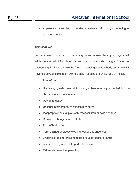● A parent or caregiver or worker constantly criticizing, threatening or rejecting the child

#### Sexual abuse

Sexual abuse is when a child or young person is used by any stronger child, adolescent or adult for his or her own sexual stimulation or gratification, or economic gain. This can take the form of exposing a sexual body part to a child, having a sexual exploitation with the child, fondling the child, rape or incest.

- **Indicators**
- Displaying greater sexual knowledge than normally expected for the child's age and development.
- Use of language
- Unusual interpersonal relationship patterns
- Inappropriate sexual play with other children or dolls and toys
- Refusal to change into PE clothes
- Fear of bathrooms
- Torn, stained or bloody clothing, especially underwear
- Bruising, bleeding, swelling tears or cut on genital or anus
- A fear of being alone with particular person
- Extremely protective parenting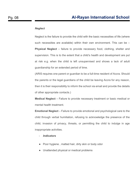#### **Neglect**

Neglect is the failure to provide the child with the basic necessities of life (where such necessities are available) within their own environment. This can be – **Physical Neglect** – failure to provide necessary food, clothing, shelter and supervision. This is to the extent that a child's health and development are put at risk e.g. when the child is left unsupervised and shows a lack of adult guardianship for an extended period of time.

(ARIS requires one parent or guardian to be a full-time resident of Accra. Should the parents or the legal guardians of the child be leaving Accra for any reason, then it is their responsibility to inform the school via email and provide the details of other appropriate contacts.)

**Medical Neglect** – Failure to provide necessary treatment or basic medical or mental health treatment.

Emotional Neglect – Failure to provide emotional and psychological care to the child through verbal humiliation, refusing to acknowledge the presence of the child, invasion of privacy, threats, or permitting the child to indulge in age inappropriate activities.

- **Indicators**
- Poor hygiene, matted hair, dirty skin or body odor
- Unattended physical or medical problems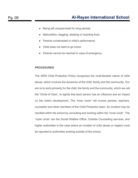- Being left unsupervised for long periods
- Malnutrition, begging, stealing or hoarding food.
- Parents uninterested in child's performance
- Child does not want to go home
- Parents cannot be reached in case of emergency

#### PROCEDURES

The ARIS Child Protection Policy recognizes the multi-faceted nature of child abuse, which involves the dynamics of the child, family and the community. Our aim is to work primarily for the child, the family and the community, which we call the "Circle of Care", to signify that each person has an influence and an impact on the child's development. The "inner circle" will involve parents, teachers, counsellor and other members of the Child Protection team. An incident may be handled within the school by consulting and working within the "Inner circle". The "outer circle" are the Social Welfare Office, Outside Counselling services, and higher authorities in the case where an incident of child abuse or neglect must be reported to authorities working outside of the school.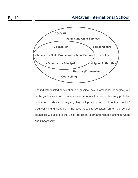## Pg. 10 **Al-Rayan International School**



The indicators listed above of abuse (physical, sexual emotional, or neglect) will be the guidelines to follow. When a teacher or a fellow peer notices any probable indicators of abuse or neglect, they will promptly report it to the Head of Counselling and Support. If the case needs to be taken further, the school counsellor will take it to the Child Protection Team and higher authorities when and if necessary.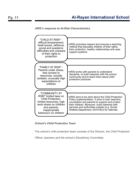#### ARIS's response to At-Risk Characteristics



#### School's Child Protection Team

The school's child protection team consists of the Director, the Child Protection

Officer, teachers and the school's Disciplinary Committee.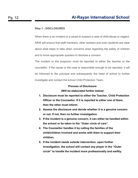#### Step 1 - DISCLOSURES

When there is an incident or a cause to suspect a case of child abuse or neglect, ARIS will ensure that staff members, other workers and even students are clear about what steps to take when concerns arise regarding the safety of children and to know appropriate quarters to disclose a concern.

The incident or the suspicion must be reported to either the teacher or the counsellor. If the cause or the case is reasonable enough to be reported, it will be informed to the principal and subsequently the head of school to further investigate and contact the school Child Protection Team.

#### Process of Disclosure (Will be elaborated further below)

- 1. Disclosure must be reported to either the Teacher, Child Protection Officer or the Counsellor. If it is reported to either one of them, then the other must inform.
- 2. Assess the disclosure and decide whether it is a genuine concern or not. If not, then no further investigation.
- 3. If the incident is a genuine concern, it can either be handled within the school or be taken to the "Outer circle of care".
- 4. The Counsellor handles it by calling the families of the child/children involved and works with them to support their children.
- 5. If the incident needs outside intervention, upon further investigation, the school will contact any player in the "Outer circle" to handle the incident more professionally and swiftly.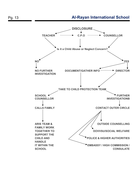## Pg. 13 **Al-Rayan International School**

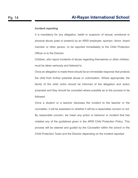#### Incident reporting

It is mandatory for any allegation, belief or suspicion of sexual, emotional or physical abuse (past or present) by an ARIS employee, sponsor, donor, board member or other person, to be reported immediately to the Child Protection Officer or to the Director.

Children, who report incidents of abuse regarding themselves or other children, must be taken seriously and listened to.

Once an allegation is made there should be an immediate response that protects the child from further potential abuse or victimization. Where appropriate, the family of the child victim should be informed of the allegation and action proposed and they should be consulted where possible as to the process to be followed.

Once a student or a teacher discloses the incident to the teacher or the counsellor, it will be assessed on whether it will be a reasonable concern or not. By reasonable concern, we mean any action or behavior or incident that has violated any of the guidelines given in the ARIS Child Protection Policy. This process will be steered and guided by the Counsellor within the school or the Child Protection Team and the Director depending on the incident reported.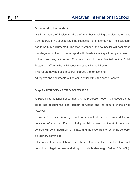#### Documenting the incident

Within 24 hours of disclosure, the staff member receiving the disclosure must also report it to the counsellor, if the counsellor is not alerted yet. The disclosure has to be fully documented. The staff member or the counsellor will document the allegation in the form of a report with details including – time, place, exact incident and any witnesses. This report should be submitted to the Child Protection Officer, who will discuss the case with the Director.

This report may be used in court if charges are forthcoming.

All reports and documents will be confidential within the school records.

#### Step 2 - RESPONDING TO DISCLOSURES

Al-Rayan International School has a Child Protection reporting procedure that takes into account the local context of Ghana and the culture of the child involved.

If any staff member is alleged to have committed, or been arrested for, or convicted of, criminal offences relating to child abuse then the staff member's contract will be immediately terminated and the case transferred to the school's disciplinary committee.

If the incident occurs in Ghana or involves a Ghanaian, the Executive Board will consult with legal counsel and all appropriate bodies (e.g., Police (DOVVSU),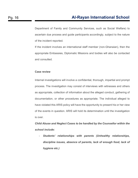Department of Family and Community Services, such as Social Welfare) to ascertain due process and guide participants accordingly, subject to the nature of the incident reported.

If the incident involves an international staff member (non-Ghanaian), then the appropriate Embassies, Diplomatic Missions and bodies will also be contacted and consulted.

#### Case review

Internal investigations will involve a confidential, thorough, impartial and prompt process. The investigation may consist of interviews with witnesses and others as appropriate, collection of information about the alleged conduct, gathering of documentation, or other procedures as appropriate. The individual alleged to have violated this ARIS policy will have the opportunity to present his or her view of the events in question. ARIS will hold its determination until the investigation is over.

Child Abuse and Neglect Cases to be handled by the Counsellor within the school include:

- Students' relationships with parents (Unhealthy relationships, discipline issues, absence of parents, lack of enough food, lack of hygiene etc.)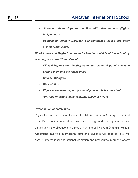- Students' relationships and conflicts with other students (Fights, bullying etc.)
- Depression, Anxiety Disorder, Self-confidence issues and other mental health issues

Child Abuse and Neglect issues to be handled outside of the school by reaching out to the "Outer Circle":

- Clinical Depression affecting students' relationships with anyone around them and their academics
- Suicidal thoughts
- Dissociation
- Physical abuse or neglect (especially once this is consistent)
- Any kind of sexual advancements, abuse or incest

#### Investigation of complaints

Physical, emotional or sexual abuse of a child is a crime. ARIS may be required to notify authorities when there are reasonable grounds for reporting abuse, particularly if the allegations are made in Ghana or involve a Ghanaian citizen. Allegations involving international staff and students will need to take into account international and national legislation and procedures in order properly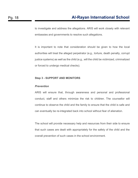to investigate and address the allegations. ARIS will work closely with relevant embassies and governments to resolve such allegations.

It is important to note that consideration should be given to how the local authorities will treat the alleged perpetrator (e.g., torture, death penalty, corrupt justice systems) as well as the child (e.g., will the child be victimized, criminalized or forced to undergo medical checks).

#### Step 3 - SUPPORT AND MONITORS

#### **Prevention**

ARIS will ensure that, through awareness and personal and professional conduct, staff and others minimize the risk to children. The counsellor will continue to observe the child and the family to ensure that the child is safe and can eventually be re-integrated back into school without fear of alienation.

The school will provide necessary help and resources from their side to ensure that such cases are dealt with appropriately for the safety of the child and the overall prevention of such cases in the school environment.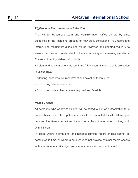#### Vigilance in Recruitment and Selection

The Human Resources team and Administration Office adhere by strict guidelines in the recruiting process of new staff, consultants, volunteers and interns. The recruitment guidelines will be reviewed and updated regularly to ensure that they accurately reflect child-safe recruiting and screening standards. The recruitment guidelines will include:

• A clear and bold statement that confirms ARIS's commitment to child protection in all contracts

- Adopting 'best practice' recruitment and selection techniques
- Conducting reference checks
- Conducting police checks where required and feasible

#### Police Checks

All personnel who work with children will be asked to sign an authorization for a police check. In addition, police checks will be conducted for all full-time, part time and long-term contract employees, regardless of whether or not they work with children.

In cases where international and national criminal record checks cannot be completed in time, or where a country does not provide criminal record checks with adequate reliability, rigorous referee checks will be used instead.